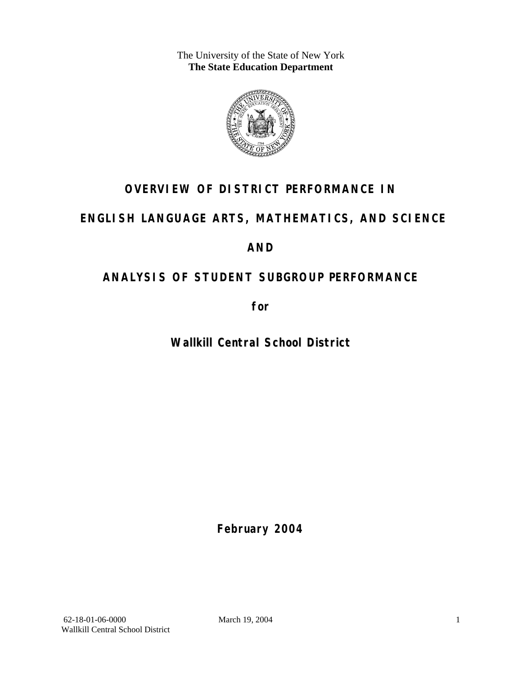The University of the State of New York **The State Education Department** 



## **OVERVIEW OF DISTRICT PERFORMANCE IN**

## **ENGLISH LANGUAGE ARTS, MATHEMATICS, AND SCIENCE**

## **AND**

## **ANALYSIS OF STUDENT SUBGROUP PERFORMANCE**

**for** 

**Wallkill Central School District**

**February 2004**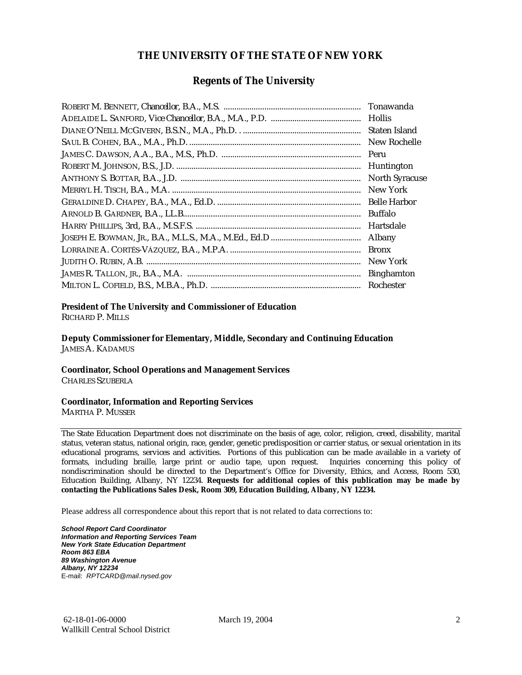#### **THE UNIVERSITY OF THE STATE OF NEW YORK**

#### **Regents of The University**

| Tonawanda             |
|-----------------------|
| <b>Hollis</b>         |
| Staten Island         |
| New Rochelle          |
| Peru                  |
| Huntington            |
| <b>North Syracuse</b> |
| New York              |
| <b>Belle Harbor</b>   |
| Buffalo               |
| Hartsdale             |
| Albany                |
| <b>Bronx</b>          |
| New York              |
| <b>Binghamton</b>     |
| Rochester             |

#### **President of The University and Commissioner of Education**

RICHARD P. MILLS

**Deputy Commissioner for Elementary, Middle, Secondary and Continuing Education**  JAMES A. KADAMUS

#### **Coordinator, School Operations and Management Services**

CHARLES SZUBERLA

#### **Coordinator, Information and Reporting Services**

MARTHA P. MUSSER

The State Education Department does not discriminate on the basis of age, color, religion, creed, disability, marital status, veteran status, national origin, race, gender, genetic predisposition or carrier status, or sexual orientation in its educational programs, services and activities. Portions of this publication can be made available in a variety of formats, including braille, large print or audio tape, upon request. Inquiries concerning this policy of nondiscrimination should be directed to the Department's Office for Diversity, Ethics, and Access, Room 530, Education Building, Albany, NY 12234. **Requests for additional copies of this publication may be made by contacting the Publications Sales Desk, Room 309, Education Building, Albany, NY 12234.** 

Please address all correspondence about this report that is not related to data corrections to:

*School Report Card Coordinator Information and Reporting Services Team New York State Education Department Room 863 EBA 89 Washington Avenue Albany, NY 12234*  E-mail: *RPTCARD@mail.nysed.gov*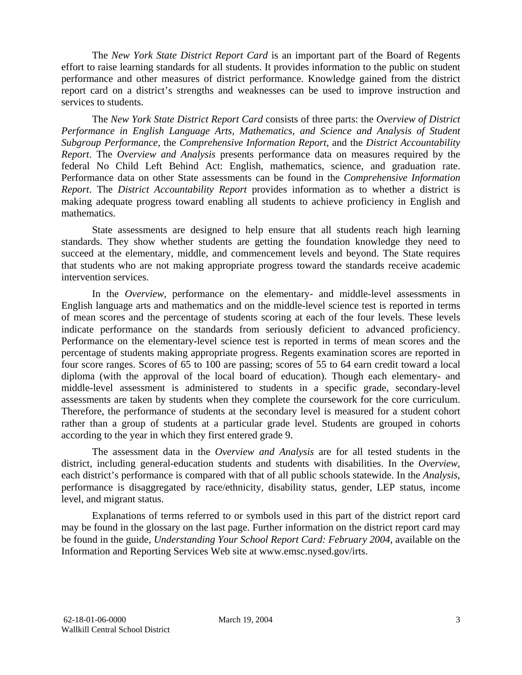The *New York State District Report Card* is an important part of the Board of Regents effort to raise learning standards for all students. It provides information to the public on student performance and other measures of district performance. Knowledge gained from the district report card on a district's strengths and weaknesses can be used to improve instruction and services to students.

The *New York State District Report Card* consists of three parts: the *Overview of District Performance in English Language Arts, Mathematics, and Science and Analysis of Student Subgroup Performance,* the *Comprehensive Information Report,* and the *District Accountability Report*. The *Overview and Analysis* presents performance data on measures required by the federal No Child Left Behind Act: English, mathematics, science, and graduation rate. Performance data on other State assessments can be found in the *Comprehensive Information Report*. The *District Accountability Report* provides information as to whether a district is making adequate progress toward enabling all students to achieve proficiency in English and mathematics.

State assessments are designed to help ensure that all students reach high learning standards. They show whether students are getting the foundation knowledge they need to succeed at the elementary, middle, and commencement levels and beyond. The State requires that students who are not making appropriate progress toward the standards receive academic intervention services.

In the *Overview*, performance on the elementary- and middle-level assessments in English language arts and mathematics and on the middle-level science test is reported in terms of mean scores and the percentage of students scoring at each of the four levels. These levels indicate performance on the standards from seriously deficient to advanced proficiency. Performance on the elementary-level science test is reported in terms of mean scores and the percentage of students making appropriate progress. Regents examination scores are reported in four score ranges. Scores of 65 to 100 are passing; scores of 55 to 64 earn credit toward a local diploma (with the approval of the local board of education). Though each elementary- and middle-level assessment is administered to students in a specific grade, secondary-level assessments are taken by students when they complete the coursework for the core curriculum. Therefore, the performance of students at the secondary level is measured for a student cohort rather than a group of students at a particular grade level. Students are grouped in cohorts according to the year in which they first entered grade 9.

The assessment data in the *Overview and Analysis* are for all tested students in the district, including general-education students and students with disabilities. In the *Overview*, each district's performance is compared with that of all public schools statewide. In the *Analysis*, performance is disaggregated by race/ethnicity, disability status, gender, LEP status, income level, and migrant status.

Explanations of terms referred to or symbols used in this part of the district report card may be found in the glossary on the last page. Further information on the district report card may be found in the guide, *Understanding Your School Report Card: February 2004*, available on the Information and Reporting Services Web site at www.emsc.nysed.gov/irts.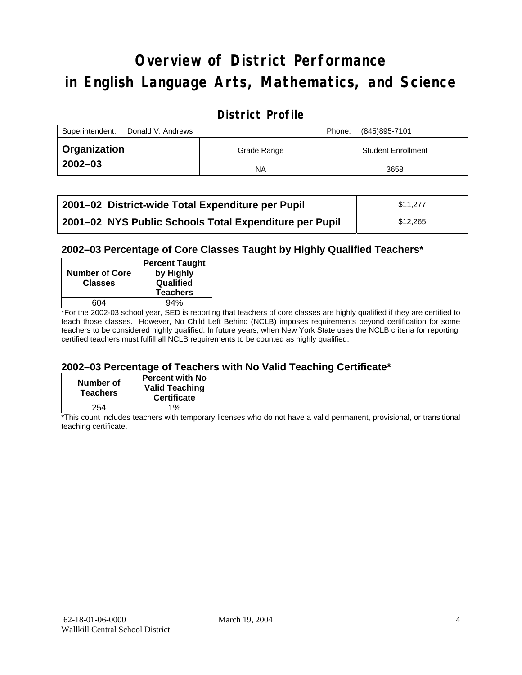## **Overview of District Performance in English Language Arts, Mathematics, and Science**

#### **District Profile**

| Superintendent:<br>Donald V. Andrews |             | Phone: | (845)895-7101             |
|--------------------------------------|-------------|--------|---------------------------|
| ∣ Organization                       | Grade Range |        | <b>Student Enrollment</b> |
| $2002 - 03$                          | <b>NA</b>   |        | 3658                      |

| 2001–02 District-wide Total Expenditure per Pupil      | \$11.277 |
|--------------------------------------------------------|----------|
| 2001-02 NYS Public Schools Total Expenditure per Pupil | \$12.265 |

#### **2002–03 Percentage of Core Classes Taught by Highly Qualified Teachers\***

| <b>Number of Core</b><br><b>Classes</b> | <b>Percent Taught</b><br>by Highly<br>Qualified<br><b>Teachers</b> |
|-----------------------------------------|--------------------------------------------------------------------|
| 604                                     | 94%                                                                |
| . .<br>- -                              |                                                                    |

\*For the 2002-03 school year, SED is reporting that teachers of core classes are highly qualified if they are certified to teach those classes. However, No Child Left Behind (NCLB) imposes requirements beyond certification for some teachers to be considered highly qualified. In future years, when New York State uses the NCLB criteria for reporting, certified teachers must fulfill all NCLB requirements to be counted as highly qualified.

#### **2002–03 Percentage of Teachers with No Valid Teaching Certificate\***

| Number of<br><b>Teachers</b> | <b>Percent with No</b><br><b>Valid Teaching</b><br><b>Certificate</b> |
|------------------------------|-----------------------------------------------------------------------|
| 254                          | 1%                                                                    |

\*This count includes teachers with temporary licenses who do not have a valid permanent, provisional, or transitional teaching certificate.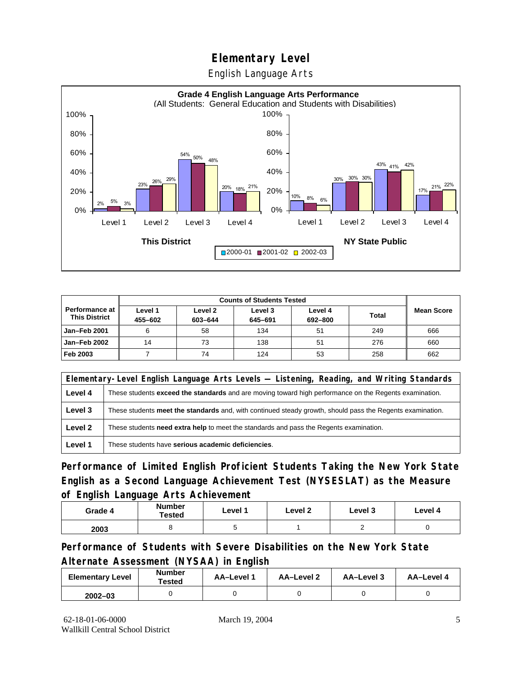English Language Arts



| <b>Counts of Students Tested</b>       |                    |                    |                    |                    |              |                   |
|----------------------------------------|--------------------|--------------------|--------------------|--------------------|--------------|-------------------|
| Performance at<br><b>This District</b> | Level 1<br>455-602 | Level 2<br>603-644 | Level 3<br>645-691 | Level 4<br>692-800 | <b>Total</b> | <b>Mean Score</b> |
| Jan-Feb 2001                           |                    | 58                 | 134                | 51                 | 249          | 666               |
| Jan-Feb 2002                           | 14                 | 73                 | 138                | 51                 | 276          | 660               |
| Feb 2003                               |                    | 74                 | 124                | 53                 | 258          | 662               |

|         | Elementary-Level English Language Arts Levels — Listening, Reading, and Writing Standards                     |  |  |  |  |  |
|---------|---------------------------------------------------------------------------------------------------------------|--|--|--|--|--|
| Level 4 | These students <b>exceed the standards</b> and are moving toward high performance on the Regents examination. |  |  |  |  |  |
| Level 3 | These students meet the standards and, with continued steady growth, should pass the Regents examination.     |  |  |  |  |  |
| Level 2 | These students <b>need extra help</b> to meet the standards and pass the Regents examination.                 |  |  |  |  |  |
| Level 1 | These students have serious academic deficiencies.                                                            |  |  |  |  |  |

**Performance of Limited English Proficient Students Taking the New York State English as a Second Language Achievement Test (NYSESLAT) as the Measure of English Language Arts Achievement**

| Grade 4 | <b>Number</b><br><b>Tested</b> | Level 1 | Level 2 | Level 3 | Level 4 |
|---------|--------------------------------|---------|---------|---------|---------|
| 2003    |                                |         |         |         |         |

**Performance of Students with Severe Disabilities on the New York State Alternate Assessment (NYSAA) in English** 

| <b>Elementary Level</b> | <b>Number</b><br>Tested | AA-Level 1 | AA-Level 2 | AA-Level 3 | AA-Level 4 |
|-------------------------|-------------------------|------------|------------|------------|------------|
| $2002 - 03$             |                         |            |            |            |            |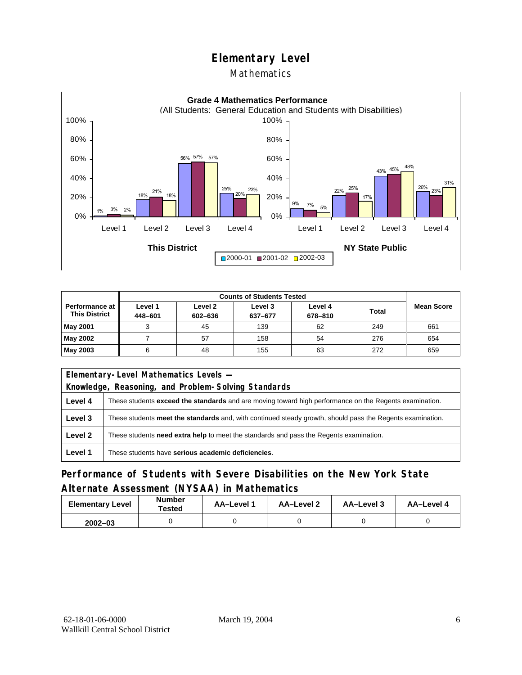#### Mathematics



|                                        | <b>Counts of Students Tested</b> |                    |                    |                    |       |            |  |
|----------------------------------------|----------------------------------|--------------------|--------------------|--------------------|-------|------------|--|
| Performance at<br><b>This District</b> | Level 1<br>448-601               | Level 2<br>602-636 | Level 3<br>637-677 | Level 4<br>678-810 | Total | Mean Score |  |
| May 2001                               | ີ                                | 45                 | 139                | 62                 | 249   | 661        |  |
| May 2002                               |                                  | 57                 | 158                | 54                 | 276   | 654        |  |
| May 2003                               | 6                                | 48                 | 155                | 63                 | 272   | 659        |  |

| Elementary-Level Mathematics Levels - |                                                                                                               |  |  |  |
|---------------------------------------|---------------------------------------------------------------------------------------------------------------|--|--|--|
|                                       | Knowledge, Reasoning, and Problem-Solving Standards                                                           |  |  |  |
| Level 4                               | These students <b>exceed the standards</b> and are moving toward high performance on the Regents examination. |  |  |  |
| Level 3                               | These students meet the standards and, with continued steady growth, should pass the Regents examination.     |  |  |  |
| Level 2                               | These students need extra help to meet the standards and pass the Regents examination.                        |  |  |  |
| Level 1                               | These students have serious academic deficiencies.                                                            |  |  |  |

#### **Performance of Students with Severe Disabilities on the New York State Alternate Assessment (NYSAA) in Mathematics**

| <b>Elementary Level</b> | <b>Number</b><br>Tested | <b>AA-Level 1</b> | AA-Level 2 | AA-Level 3 | AA-Level 4 |
|-------------------------|-------------------------|-------------------|------------|------------|------------|
| $2002 - 03$             |                         |                   |            |            |            |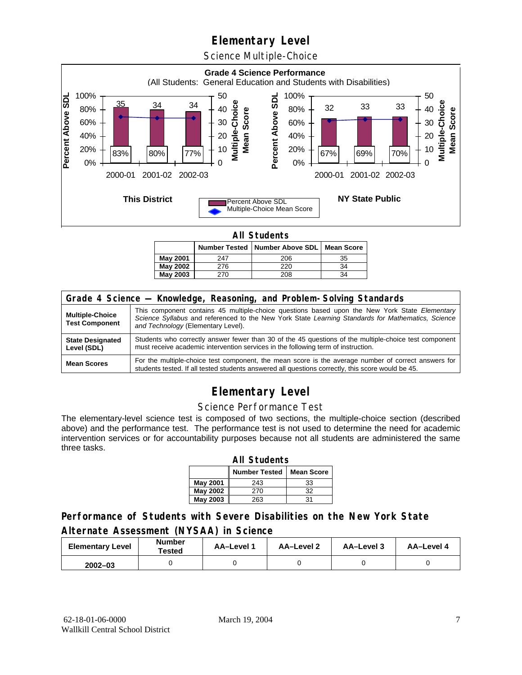Science Multiple-Choice



**All Students** 

|                 |     | <b>Number Tested   Number Above SDL  </b> | <b>Mean Score</b> |
|-----------------|-----|-------------------------------------------|-------------------|
| Mav 2001        | 247 | 206                                       | 35                |
| <b>May 2002</b> | 276 | 220                                       | 34                |
| <b>May 2003</b> | 270 | 208                                       | 34                |

| Grade 4 Science - Knowledge, Reasoning, and Problem-Solving Standards |                                                                                                                                                                                                                                          |  |  |  |  |
|-----------------------------------------------------------------------|------------------------------------------------------------------------------------------------------------------------------------------------------------------------------------------------------------------------------------------|--|--|--|--|
| <b>Multiple-Choice</b><br><b>Test Component</b>                       | This component contains 45 multiple-choice questions based upon the New York State Elementary<br>Science Syllabus and referenced to the New York State Learning Standards for Mathematics, Science<br>and Technology (Elementary Level). |  |  |  |  |
| <b>State Designated</b><br>Level (SDL)                                | Students who correctly answer fewer than 30 of the 45 questions of the multiple-choice test component<br>must receive academic intervention services in the following term of instruction.                                               |  |  |  |  |
| <b>Mean Scores</b>                                                    | For the multiple-choice test component, the mean score is the average number of correct answers for<br>students tested. If all tested students answered all questions correctly, this score would be 45.                                 |  |  |  |  |

## **Elementary Level**

#### Science Performance Test

The elementary-level science test is composed of two sections, the multiple-choice section (described above) and the performance test. The performance test is not used to determine the need for academic intervention services or for accountability purposes because not all students are administered the same three tasks.

| <b>All Students</b>                       |     |    |  |  |  |  |  |
|-------------------------------------------|-----|----|--|--|--|--|--|
| <b>Number Tested</b><br><b>Mean Score</b> |     |    |  |  |  |  |  |
| <b>May 2001</b>                           | 243 | 33 |  |  |  |  |  |
| May 2002                                  | 270 | 32 |  |  |  |  |  |
| <b>May 2003</b><br>31<br>263              |     |    |  |  |  |  |  |

#### **Performance of Students with Severe Disabilities on the New York State Alternate Assessment (NYSAA) in Science**

| <b>Elementary Level</b> | <b>Number</b><br>Tested | AA-Level | <b>AA-Level 2</b> | AA-Level 3 | AA-Level 4 |
|-------------------------|-------------------------|----------|-------------------|------------|------------|
| $2002 - 03$             |                         |          |                   |            |            |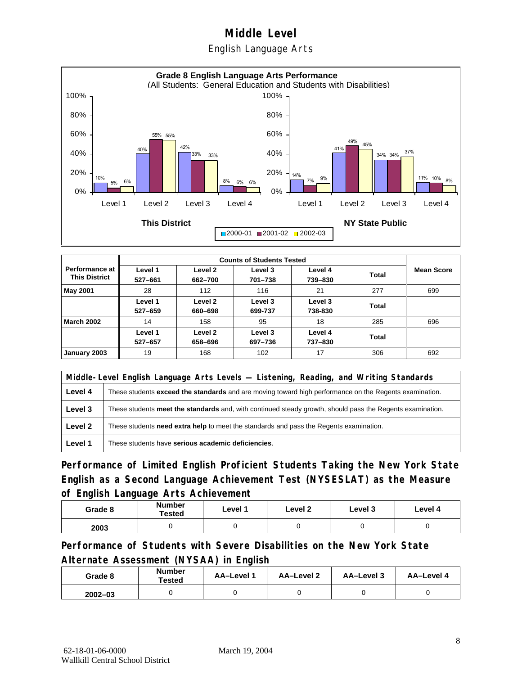English Language Arts



|                                          |                    | <b>Counts of Students Tested</b> |                    |                    |       |                   |  |  |
|------------------------------------------|--------------------|----------------------------------|--------------------|--------------------|-------|-------------------|--|--|
| Performance at I<br><b>This District</b> | Level 1<br>527-661 | Level 2<br>662-700               | Level 3<br>701-738 | Level 4<br>739-830 | Total | <b>Mean Score</b> |  |  |
| <b>May 2001</b>                          | 28                 | 112                              | 116                | 21                 | 277   | 699               |  |  |
|                                          | Level 1<br>527-659 | Level 2<br>660-698               | Level 3<br>699-737 | Level 3<br>738-830 | Total |                   |  |  |
| <b>March 2002</b>                        | 14                 | 158                              | 95                 | 18                 | 285   | 696               |  |  |
|                                          | Level 1<br>527-657 | Level 2<br>658-696               | Level 3<br>697-736 | Level 4<br>737-830 | Total |                   |  |  |
| January 2003                             | 19                 | 168                              | 102                | 17                 | 306   | 692               |  |  |

|         | Middle-Level English Language Arts Levels — Listening, Reading, and Writing Standards                         |  |  |  |  |
|---------|---------------------------------------------------------------------------------------------------------------|--|--|--|--|
| Level 4 | These students <b>exceed the standards</b> and are moving toward high performance on the Regents examination. |  |  |  |  |
| Level 3 | These students meet the standards and, with continued steady growth, should pass the Regents examination.     |  |  |  |  |
| Level 2 | These students <b>need extra help</b> to meet the standards and pass the Regents examination.                 |  |  |  |  |
| Level 1 | These students have serious academic deficiencies.                                                            |  |  |  |  |

**Performance of Limited English Proficient Students Taking the New York State English as a Second Language Achievement Test (NYSESLAT) as the Measure of English Language Arts Achievement**

| Grade 8 | <b>Number</b><br>Tested | Level 1 | Level 2 | Level 3 | Level 4 |
|---------|-------------------------|---------|---------|---------|---------|
| 2003    |                         |         |         |         |         |

**Performance of Students with Severe Disabilities on the New York State Alternate Assessment (NYSAA) in English** 

| Grade 8     | Number<br>Tested | AA-Level 1 | AA-Level 2 | AA-Level 3 | AA-Level 4 |
|-------------|------------------|------------|------------|------------|------------|
| $2002 - 03$ |                  |            |            |            |            |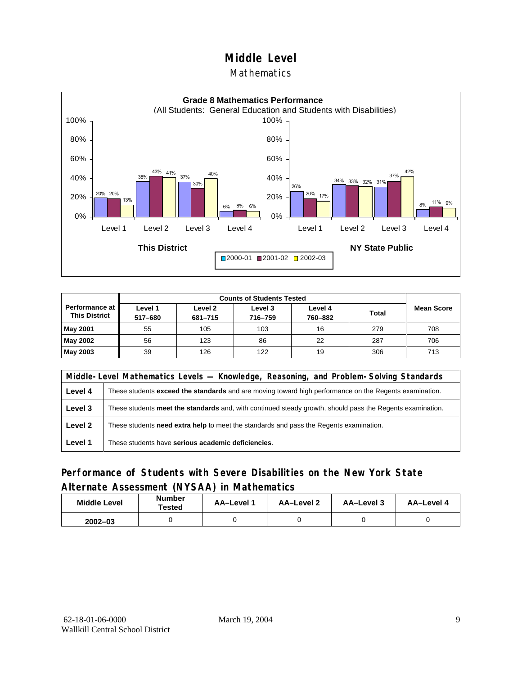#### Mathematics



|                                        |                    | <b>Counts of Students Tested</b> |                    |                    |              |                   |  |  |
|----------------------------------------|--------------------|----------------------------------|--------------------|--------------------|--------------|-------------------|--|--|
| Performance at<br><b>This District</b> | Level 1<br>517-680 | Level 2<br>681-715               | Level 3<br>716-759 | Level 4<br>760-882 | <b>Total</b> | <b>Mean Score</b> |  |  |
| <b>May 2001</b>                        | 55                 | 105                              | 103                | 16                 | 279          | 708               |  |  |
| May 2002                               | 56                 | 123                              | 86                 | 22                 | 287          | 706               |  |  |
| May 2003                               | 39                 | 126                              | 122                | 19                 | 306          | 713               |  |  |

|         | Middle-Level Mathematics Levels — Knowledge, Reasoning, and Problem-Solving Standards                         |  |  |  |  |
|---------|---------------------------------------------------------------------------------------------------------------|--|--|--|--|
| Level 4 | These students <b>exceed the standards</b> and are moving toward high performance on the Regents examination. |  |  |  |  |
| Level 3 | These students meet the standards and, with continued steady growth, should pass the Regents examination.     |  |  |  |  |
| Level 2 | These students <b>need extra help</b> to meet the standards and pass the Regents examination.                 |  |  |  |  |
| Level 1 | These students have serious academic deficiencies.                                                            |  |  |  |  |

#### **Performance of Students with Severe Disabilities on the New York State Alternate Assessment (NYSAA) in Mathematics**

| <b>Middle Level</b> | <b>Number</b><br>Tested | <b>AA-Level</b> | AA-Level 2 | AA-Level 3 | AA-Level 4 |
|---------------------|-------------------------|-----------------|------------|------------|------------|
| $2002 - 03$         |                         |                 |            |            |            |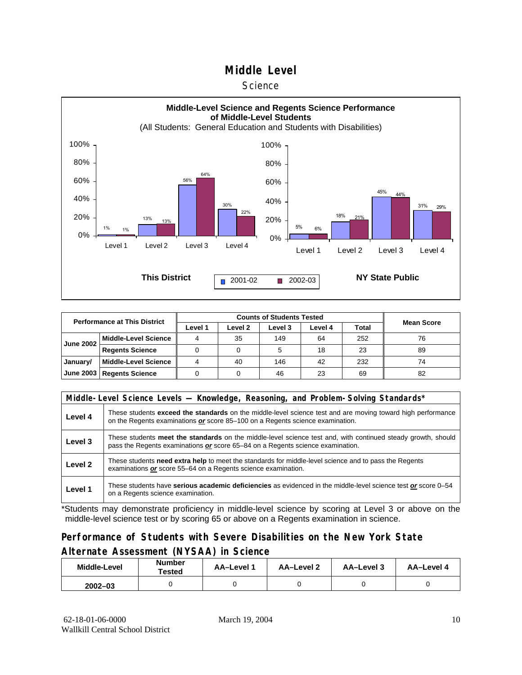#### **Science**



| <b>Performance at This District</b> |                             |         | <b>Mean Score</b> |         |         |              |    |
|-------------------------------------|-----------------------------|---------|-------------------|---------|---------|--------------|----|
|                                     |                             | Level 1 | Level 2           | Level 3 | Level 4 | <b>Total</b> |    |
| <b>June 2002</b>                    | <b>Middle-Level Science</b> |         | 35                | 149     | 64      | 252          | 76 |
|                                     | <b>Regents Science</b>      |         |                   |         | 18      | 23           | 89 |
| January/                            | <b>Middle-Level Science</b> |         | 40                | 146     | 42      | 232          | 74 |
|                                     | June 2003   Regents Science |         |                   | 46      | 23      | 69           | 82 |

|         | Middle-Level Science Levels - Knowledge, Reasoning, and Problem-Solving Standards*                                                                                                             |
|---------|------------------------------------------------------------------------------------------------------------------------------------------------------------------------------------------------|
| Level 4 | These students exceed the standards on the middle-level science test and are moving toward high performance<br>on the Regents examinations or score 85-100 on a Regents science examination.   |
| Level 3 | These students meet the standards on the middle-level science test and, with continued steady growth, should<br>pass the Regents examinations or score 65-84 on a Regents science examination. |
| Level 2 | These students need extra help to meet the standards for middle-level science and to pass the Regents<br>examinations or score 55–64 on a Regents science examination.                         |
| Level 1 | These students have serious academic deficiencies as evidenced in the middle-level science test or score 0–54<br>on a Regents science examination.                                             |

\*Students may demonstrate proficiency in middle-level science by scoring at Level 3 or above on the middle-level science test or by scoring 65 or above on a Regents examination in science.

#### **Performance of Students with Severe Disabilities on the New York State Alternate Assessment (NYSAA) in Science**

| Middle-Level | Number<br>Tested | AA-Level 1 | AA-Level 2 | AA-Level 3 | AA-Level 4 |  |
|--------------|------------------|------------|------------|------------|------------|--|
| $2002 - 03$  |                  |            |            |            |            |  |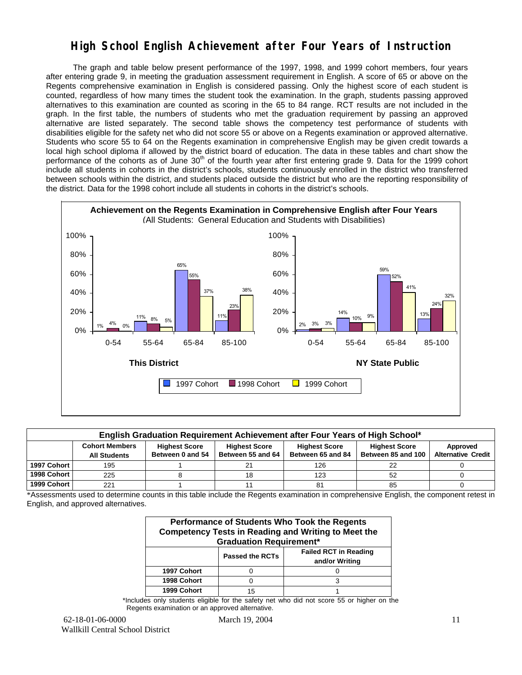### **High School English Achievement after Four Years of Instruction**

 The graph and table below present performance of the 1997, 1998, and 1999 cohort members, four years after entering grade 9, in meeting the graduation assessment requirement in English. A score of 65 or above on the Regents comprehensive examination in English is considered passing. Only the highest score of each student is counted, regardless of how many times the student took the examination. In the graph, students passing approved alternatives to this examination are counted as scoring in the 65 to 84 range. RCT results are not included in the graph. In the first table, the numbers of students who met the graduation requirement by passing an approved alternative are listed separately. The second table shows the competency test performance of students with disabilities eligible for the safety net who did not score 55 or above on a Regents examination or approved alternative. Students who score 55 to 64 on the Regents examination in comprehensive English may be given credit towards a local high school diploma if allowed by the district board of education. The data in these tables and chart show the performance of the cohorts as of June  $30<sup>th</sup>$  of the fourth year after first entering grade 9. Data for the 1999 cohort include all students in cohorts in the district's schools, students continuously enrolled in the district who transferred between schools within the district, and students placed outside the district but who are the reporting responsibility of the district. Data for the 1998 cohort include all students in cohorts in the district's schools.



|             | English Graduation Requirement Achievement after Four Years of High School*                                                                                                                                                                                               |  |    |     |    |  |  |  |  |  |  |  |
|-------------|---------------------------------------------------------------------------------------------------------------------------------------------------------------------------------------------------------------------------------------------------------------------------|--|----|-----|----|--|--|--|--|--|--|--|
|             | <b>Cohort Members</b><br><b>Highest Score</b><br><b>Highest Score</b><br><b>Highest Score</b><br><b>Highest Score</b><br>Approved<br><b>Alternative Credit</b><br>Between 55 and 64<br>Between 85 and 100<br>Between 0 and 54<br>Between 65 and 84<br><b>All Students</b> |  |    |     |    |  |  |  |  |  |  |  |
| 1997 Cohort | 195                                                                                                                                                                                                                                                                       |  |    | 126 | 22 |  |  |  |  |  |  |  |
| 1998 Cohort | 225                                                                                                                                                                                                                                                                       |  | 18 | 123 | 52 |  |  |  |  |  |  |  |
| 1999 Cohort | 221                                                                                                                                                                                                                                                                       |  |    | 81  | 85 |  |  |  |  |  |  |  |

\*Assessments used to determine counts in this table include the Regents examination in comprehensive English, the component retest in English, and approved alternatives.

| Performance of Students Who Took the Regents<br><b>Competency Tests in Reading and Writing to Meet the</b><br><b>Graduation Requirement*</b> |    |  |  |  |  |  |  |  |
|----------------------------------------------------------------------------------------------------------------------------------------------|----|--|--|--|--|--|--|--|
| <b>Failed RCT in Reading</b><br><b>Passed the RCTs</b><br>and/or Writing                                                                     |    |  |  |  |  |  |  |  |
| 1997 Cohort                                                                                                                                  |    |  |  |  |  |  |  |  |
| 1998 Cohort                                                                                                                                  |    |  |  |  |  |  |  |  |
| 1999 Cohort                                                                                                                                  | 15 |  |  |  |  |  |  |  |

\*Includes only students eligible for the safety net who did not score 55 or higher on the Regents examination or an approved alternative.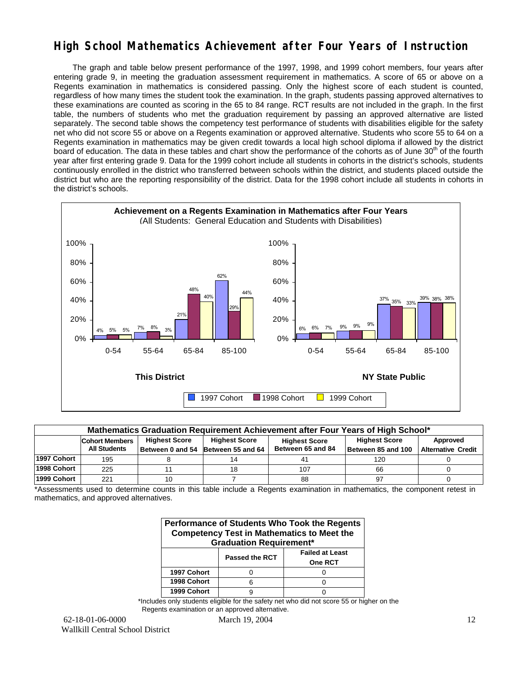### **High School Mathematics Achievement after Four Years of Instruction**

 The graph and table below present performance of the 1997, 1998, and 1999 cohort members, four years after entering grade 9, in meeting the graduation assessment requirement in mathematics. A score of 65 or above on a Regents examination in mathematics is considered passing. Only the highest score of each student is counted, regardless of how many times the student took the examination. In the graph, students passing approved alternatives to these examinations are counted as scoring in the 65 to 84 range. RCT results are not included in the graph. In the first table, the numbers of students who met the graduation requirement by passing an approved alternative are listed separately. The second table shows the competency test performance of students with disabilities eligible for the safety net who did not score 55 or above on a Regents examination or approved alternative. Students who score 55 to 64 on a Regents examination in mathematics may be given credit towards a local high school diploma if allowed by the district board of education. The data in these tables and chart show the performance of the cohorts as of June 30<sup>th</sup> of the fourth year after first entering grade 9. Data for the 1999 cohort include all students in cohorts in the district's schools, students continuously enrolled in the district who transferred between schools within the district, and students placed outside the district but who are the reporting responsibility of the district. Data for the 1998 cohort include all students in cohorts in the district's schools.



| Mathematics Graduation Requirement Achievement after Four Years of High School* |                                                                                                                                   |    |                                    |                   |                    |                           |  |  |  |  |  |
|---------------------------------------------------------------------------------|-----------------------------------------------------------------------------------------------------------------------------------|----|------------------------------------|-------------------|--------------------|---------------------------|--|--|--|--|--|
|                                                                                 | <b>Highest Score</b><br><b>Highest Score</b><br><b>Highest Score</b><br>Approved<br><b>Cohort Members</b><br><b>Highest Score</b> |    |                                    |                   |                    |                           |  |  |  |  |  |
|                                                                                 | <b>All Students</b>                                                                                                               |    | Between 0 and 54 Between 55 and 64 | Between 65 and 84 | Between 85 and 100 | <b>Alternative Credit</b> |  |  |  |  |  |
| 1997 Cohort                                                                     | 195                                                                                                                               |    |                                    | 4                 | 120                |                           |  |  |  |  |  |
| 1998 Cohort                                                                     | 225                                                                                                                               |    | 18                                 | 107               | 66                 |                           |  |  |  |  |  |
| 1999 Cohort                                                                     | 221                                                                                                                               | 10 |                                    | 88                |                    |                           |  |  |  |  |  |

\*Assessments used to determine counts in this table include a Regents examination in mathematics, the component retest in mathematics, and approved alternatives.

| Performance of Students Who Took the Regents<br><b>Competency Test in Mathematics to Meet the</b><br><b>Graduation Requirement*</b> |  |  |  |  |  |  |  |  |
|-------------------------------------------------------------------------------------------------------------------------------------|--|--|--|--|--|--|--|--|
| <b>Failed at Least</b><br><b>Passed the RCT</b><br>One RCT                                                                          |  |  |  |  |  |  |  |  |
| 1997 Cohort                                                                                                                         |  |  |  |  |  |  |  |  |
| 1998 Cohort                                                                                                                         |  |  |  |  |  |  |  |  |
| 1999 Cohort                                                                                                                         |  |  |  |  |  |  |  |  |

\*Includes only students eligible for the safety net who did not score 55 or higher on the Regents examination or an approved alternative.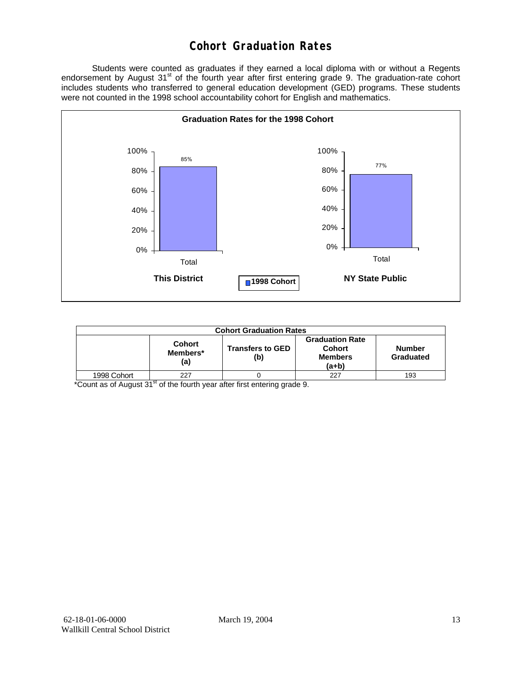## **Cohort Graduation Rates**

 Students were counted as graduates if they earned a local diploma with or without a Regents endorsement by August 31<sup>st</sup> of the fourth year after first entering grade 9. The graduation-rate cohort includes students who transferred to general education development (GED) programs. These students were not counted in the 1998 school accountability cohort for English and mathematics.



| <b>Cohort Graduation Rates</b> |                                  |                                |                                                             |                            |  |  |  |  |  |
|--------------------------------|----------------------------------|--------------------------------|-------------------------------------------------------------|----------------------------|--|--|--|--|--|
|                                | <b>Cohort</b><br>Members*<br>(a) | <b>Transfers to GED</b><br>(b) | <b>Graduation Rate</b><br>Cohort<br><b>Members</b><br>(a+b) | <b>Number</b><br>Graduated |  |  |  |  |  |
| 1998 Cohort                    | 227                              |                                | 227                                                         | 193                        |  |  |  |  |  |

\*Count as of August 31<sup>st</sup> of the fourth year after first entering grade 9.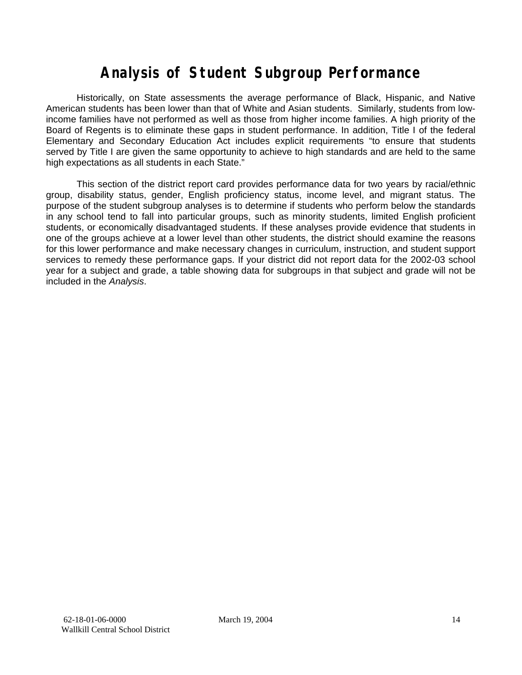## **Analysis of Student Subgroup Performance**

Historically, on State assessments the average performance of Black, Hispanic, and Native American students has been lower than that of White and Asian students. Similarly, students from lowincome families have not performed as well as those from higher income families. A high priority of the Board of Regents is to eliminate these gaps in student performance. In addition, Title I of the federal Elementary and Secondary Education Act includes explicit requirements "to ensure that students served by Title I are given the same opportunity to achieve to high standards and are held to the same high expectations as all students in each State."

This section of the district report card provides performance data for two years by racial/ethnic group, disability status, gender, English proficiency status, income level, and migrant status. The purpose of the student subgroup analyses is to determine if students who perform below the standards in any school tend to fall into particular groups, such as minority students, limited English proficient students, or economically disadvantaged students. If these analyses provide evidence that students in one of the groups achieve at a lower level than other students, the district should examine the reasons for this lower performance and make necessary changes in curriculum, instruction, and student support services to remedy these performance gaps. If your district did not report data for the 2002-03 school year for a subject and grade, a table showing data for subgroups in that subject and grade will not be included in the *Analysis*.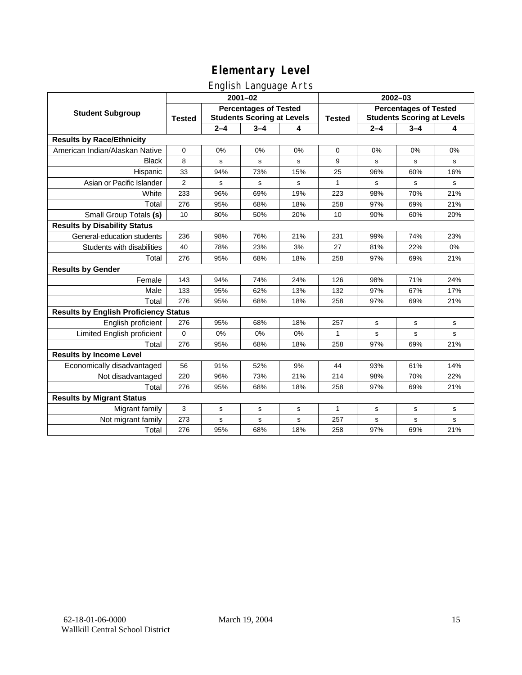English Language Arts

|                                              | ັ<br>$2001 - 02$                                                                   |         |             |               | 2002-03                                                           |         |         |     |
|----------------------------------------------|------------------------------------------------------------------------------------|---------|-------------|---------------|-------------------------------------------------------------------|---------|---------|-----|
| <b>Student Subgroup</b>                      | <b>Percentages of Tested</b><br><b>Students Scoring at Levels</b><br><b>Tested</b> |         |             | <b>Tested</b> | <b>Percentages of Tested</b><br><b>Students Scoring at Levels</b> |         |         |     |
|                                              |                                                                                    | $2 - 4$ | $3 - 4$     | 4             |                                                                   | $2 - 4$ | $3 - 4$ | 4   |
| <b>Results by Race/Ethnicity</b>             |                                                                                    |         |             |               |                                                                   |         |         |     |
| American Indian/Alaskan Native               | 0                                                                                  | 0%      | 0%          | 0%            | $\mathbf 0$                                                       | 0%      | 0%      | 0%  |
| <b>Black</b>                                 | 8                                                                                  | s       | $\mathbf s$ | s             | 9                                                                 | s       | s       | s   |
| Hispanic                                     | 33                                                                                 | 94%     | 73%         | 15%           | 25                                                                | 96%     | 60%     | 16% |
| Asian or Pacific Islander                    | $\overline{2}$                                                                     | s       | $\mathbf S$ | s             | 1                                                                 | s       | s       | s   |
| White                                        | 233                                                                                | 96%     | 69%         | 19%           | 223                                                               | 98%     | 70%     | 21% |
| Total                                        | 276                                                                                | 95%     | 68%         | 18%           | 258                                                               | 97%     | 69%     | 21% |
| Small Group Totals (s)                       | 10                                                                                 | 80%     | 50%         | 20%           | 10                                                                | 90%     | 60%     | 20% |
| <b>Results by Disability Status</b>          |                                                                                    |         |             |               |                                                                   |         |         |     |
| General-education students                   | 236                                                                                | 98%     | 76%         | 21%           | 231                                                               | 99%     | 74%     | 23% |
| Students with disabilities                   | 40                                                                                 | 78%     | 23%         | 3%            | 27                                                                | 81%     | 22%     | 0%  |
| Total                                        | 276                                                                                | 95%     | 68%         | 18%           | 258                                                               | 97%     | 69%     | 21% |
| <b>Results by Gender</b>                     |                                                                                    |         |             |               |                                                                   |         |         |     |
| Female                                       | 143                                                                                | 94%     | 74%         | 24%           | 126                                                               | 98%     | 71%     | 24% |
| Male                                         | 133                                                                                | 95%     | 62%         | 13%           | 132                                                               | 97%     | 67%     | 17% |
| Total                                        | 276                                                                                | 95%     | 68%         | 18%           | 258                                                               | 97%     | 69%     | 21% |
| <b>Results by English Proficiency Status</b> |                                                                                    |         |             |               |                                                                   |         |         |     |
| English proficient                           | 276                                                                                | 95%     | 68%         | 18%           | 257                                                               | s       | s       | s   |
| Limited English proficient                   | 0                                                                                  | 0%      | 0%          | 0%            | 1                                                                 | s       | s       | s   |
| Total                                        | 276                                                                                | 95%     | 68%         | 18%           | 258                                                               | 97%     | 69%     | 21% |
| <b>Results by Income Level</b>               |                                                                                    |         |             |               |                                                                   |         |         |     |
| Economically disadvantaged                   | 56                                                                                 | 91%     | 52%         | 9%            | 44                                                                | 93%     | 61%     | 14% |
| Not disadvantaged                            | 220                                                                                | 96%     | 73%         | 21%           | 214                                                               | 98%     | 70%     | 22% |
| Total                                        | 276                                                                                | 95%     | 68%         | 18%           | 258                                                               | 97%     | 69%     | 21% |
| <b>Results by Migrant Status</b>             |                                                                                    |         |             |               |                                                                   |         |         |     |
| Migrant family                               | 3                                                                                  | s       | s           | s             | 1                                                                 | s       | s       | s   |
| Not migrant family                           | 273                                                                                | s       | $\mathbf s$ | s             | 257                                                               | s       | s       | s   |
| Total                                        | 276                                                                                | 95%     | 68%         | 18%           | 258                                                               | 97%     | 69%     | 21% |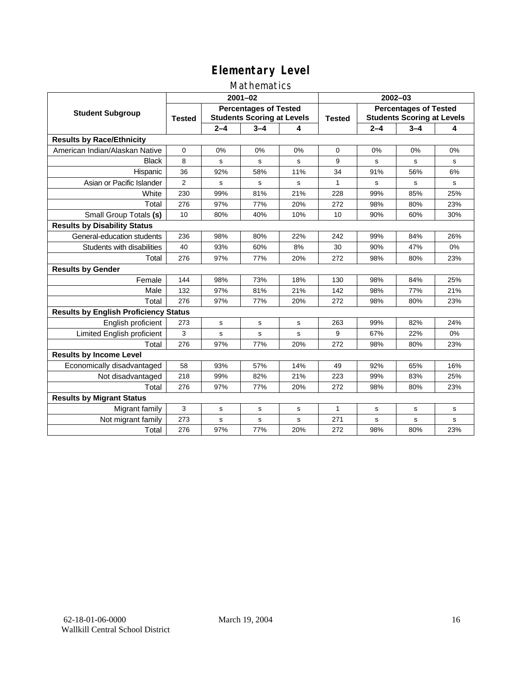#### Mathematics

|                                              |                                                                                    |         | $2001 - 02$ |               | $2002 - 03$                                                       |         |         |     |
|----------------------------------------------|------------------------------------------------------------------------------------|---------|-------------|---------------|-------------------------------------------------------------------|---------|---------|-----|
| <b>Student Subgroup</b>                      | <b>Percentages of Tested</b><br><b>Students Scoring at Levels</b><br><b>Tested</b> |         |             | <b>Tested</b> | <b>Percentages of Tested</b><br><b>Students Scoring at Levels</b> |         |         |     |
|                                              |                                                                                    | $2 - 4$ | $3 - 4$     | 4             |                                                                   | $2 - 4$ | $3 - 4$ | 4   |
| <b>Results by Race/Ethnicity</b>             |                                                                                    |         |             |               |                                                                   |         |         |     |
| American Indian/Alaskan Native               | $\Omega$                                                                           | 0%      | 0%          | 0%            | $\Omega$                                                          | 0%      | 0%      | 0%  |
| <b>Black</b>                                 | 8                                                                                  | s       | s           | s             | 9                                                                 | s       | s       | s   |
| Hispanic                                     | 36                                                                                 | 92%     | 58%         | 11%           | 34                                                                | 91%     | 56%     | 6%  |
| Asian or Pacific Islander                    | $\overline{2}$                                                                     | s       | s           | s             | 1                                                                 | s       | s       | s   |
| White                                        | 230                                                                                | 99%     | 81%         | 21%           | 228                                                               | 99%     | 85%     | 25% |
| Total                                        | 276                                                                                | 97%     | 77%         | 20%           | 272                                                               | 98%     | 80%     | 23% |
| Small Group Totals (s)                       | 10                                                                                 | 80%     | 40%         | 10%           | 10                                                                | 90%     | 60%     | 30% |
| <b>Results by Disability Status</b>          |                                                                                    |         |             |               |                                                                   |         |         |     |
| General-education students                   | 236                                                                                | 98%     | 80%         | 22%           | 242                                                               | 99%     | 84%     | 26% |
| Students with disabilities                   | 40                                                                                 | 93%     | 60%         | 8%            | 30                                                                | 90%     | 47%     | 0%  |
| Total                                        | 276                                                                                | 97%     | 77%         | 20%           | 272                                                               | 98%     | 80%     | 23% |
| <b>Results by Gender</b>                     |                                                                                    |         |             |               |                                                                   |         |         |     |
| Female                                       | 144                                                                                | 98%     | 73%         | 18%           | 130                                                               | 98%     | 84%     | 25% |
| Male                                         | 132                                                                                | 97%     | 81%         | 21%           | 142                                                               | 98%     | 77%     | 21% |
| Total                                        | 276                                                                                | 97%     | 77%         | 20%           | 272                                                               | 98%     | 80%     | 23% |
| <b>Results by English Proficiency Status</b> |                                                                                    |         |             |               |                                                                   |         |         |     |
| English proficient                           | 273                                                                                | s       | s           | s             | 263                                                               | 99%     | 82%     | 24% |
| Limited English proficient                   | 3                                                                                  | s       | $\mathbf s$ | s             | 9                                                                 | 67%     | 22%     | 0%  |
| Total                                        | 276                                                                                | 97%     | 77%         | 20%           | 272                                                               | 98%     | 80%     | 23% |
| <b>Results by Income Level</b>               |                                                                                    |         |             |               |                                                                   |         |         |     |
| Economically disadvantaged                   | 58                                                                                 | 93%     | 57%         | 14%           | 49                                                                | 92%     | 65%     | 16% |
| Not disadvantaged                            | 218                                                                                | 99%     | 82%         | 21%           | 223                                                               | 99%     | 83%     | 25% |
| Total                                        | 276                                                                                | 97%     | 77%         | 20%           | 272                                                               | 98%     | 80%     | 23% |
| <b>Results by Migrant Status</b>             |                                                                                    |         |             |               |                                                                   |         |         |     |
| Migrant family                               | 3                                                                                  | s       | s           | s             | 1                                                                 | s       | s       | s   |
| Not migrant family                           | 273                                                                                | s       | $\mathbf s$ | s             | 271                                                               | s       | s       | s   |
| Total                                        | 276                                                                                | 97%     | 77%         | 20%           | 272                                                               | 98%     | 80%     | 23% |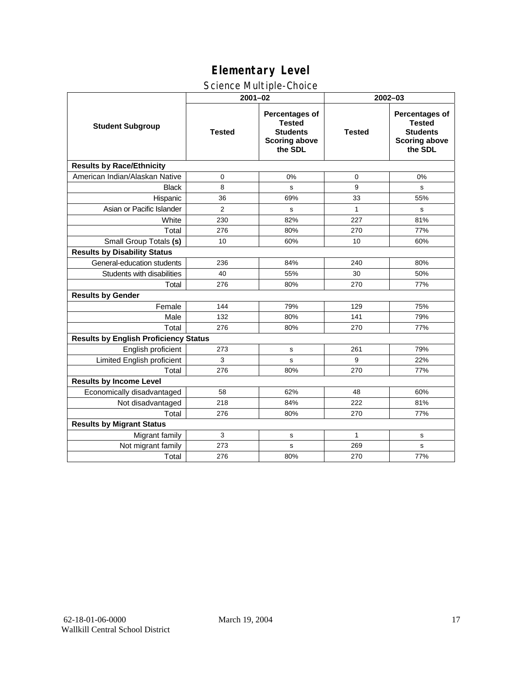#### Science Multiple-Choice

|                                              | $2001 - 02$    |                                                                                              | 2002-03       |                                                                                              |  |  |
|----------------------------------------------|----------------|----------------------------------------------------------------------------------------------|---------------|----------------------------------------------------------------------------------------------|--|--|
| <b>Student Subgroup</b>                      | <b>Tested</b>  | <b>Percentages of</b><br><b>Tested</b><br><b>Students</b><br><b>Scoring above</b><br>the SDL | <b>Tested</b> | <b>Percentages of</b><br><b>Tested</b><br><b>Students</b><br><b>Scoring above</b><br>the SDL |  |  |
| <b>Results by Race/Ethnicity</b>             |                |                                                                                              |               |                                                                                              |  |  |
| American Indian/Alaskan Native               | 0              | 0%                                                                                           | 0             | 0%                                                                                           |  |  |
| <b>Black</b>                                 | 8              | s                                                                                            | 9             | s                                                                                            |  |  |
| Hispanic                                     | 36             | 69%                                                                                          | 33            | 55%                                                                                          |  |  |
| Asian or Pacific Islander                    | $\overline{2}$ | s                                                                                            | $\mathbf{1}$  | s                                                                                            |  |  |
| White                                        | 230            | 82%                                                                                          | 227           | 81%                                                                                          |  |  |
| Total                                        | 276            | 80%                                                                                          | 270           | 77%                                                                                          |  |  |
| Small Group Totals (s)                       | 10             | 60%                                                                                          | 10            | 60%                                                                                          |  |  |
| <b>Results by Disability Status</b>          |                |                                                                                              |               |                                                                                              |  |  |
| General-education students                   | 236            | 84%                                                                                          | 240           | 80%                                                                                          |  |  |
| Students with disabilities                   | 40             | 55%                                                                                          | 30            | 50%                                                                                          |  |  |
| Total                                        | 276            | 80%                                                                                          | 270           | 77%                                                                                          |  |  |
| <b>Results by Gender</b>                     |                |                                                                                              |               |                                                                                              |  |  |
| Female                                       | 144            | 79%                                                                                          | 129           | 75%                                                                                          |  |  |
| Male                                         | 132            | 80%                                                                                          | 141           | 79%                                                                                          |  |  |
| Total                                        | 276            | 80%                                                                                          | 270           | 77%                                                                                          |  |  |
| <b>Results by English Proficiency Status</b> |                |                                                                                              |               |                                                                                              |  |  |
| English proficient                           | 273            | s                                                                                            | 261           | 79%                                                                                          |  |  |
| Limited English proficient                   | 3              | s                                                                                            | 9             | 22%                                                                                          |  |  |
| Total                                        | 276            | 80%                                                                                          | 270           | 77%                                                                                          |  |  |
| <b>Results by Income Level</b>               |                |                                                                                              |               |                                                                                              |  |  |
| Economically disadvantaged                   | 58             | 62%                                                                                          | 48            | 60%                                                                                          |  |  |
| Not disadvantaged                            | 218            | 84%                                                                                          | 222           | 81%                                                                                          |  |  |
| Total                                        | 276            | 80%                                                                                          | 270           | 77%                                                                                          |  |  |
| <b>Results by Migrant Status</b>             |                |                                                                                              |               |                                                                                              |  |  |
| Migrant family                               | 3              | s                                                                                            | $\mathbf{1}$  | $\mathbf s$                                                                                  |  |  |
| Not migrant family                           | 273            | s                                                                                            | 269           | s                                                                                            |  |  |
| Total                                        | 276            | 80%                                                                                          | 270           | 77%                                                                                          |  |  |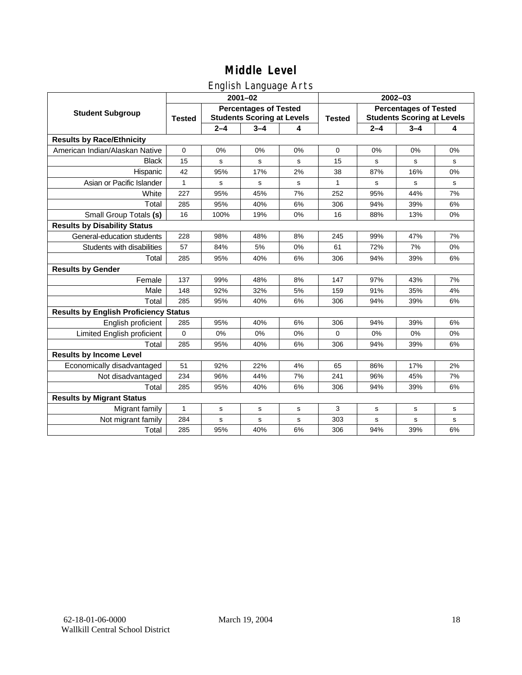#### English Language Arts

|                                              | ັ<br>$2001 - 02$                                                                   |         |             |               | 2002-03                                                           |         |             |    |
|----------------------------------------------|------------------------------------------------------------------------------------|---------|-------------|---------------|-------------------------------------------------------------------|---------|-------------|----|
| <b>Student Subgroup</b>                      | <b>Percentages of Tested</b><br><b>Students Scoring at Levels</b><br><b>Tested</b> |         |             | <b>Tested</b> | <b>Percentages of Tested</b><br><b>Students Scoring at Levels</b> |         |             |    |
|                                              |                                                                                    | $2 - 4$ | $3 - 4$     | 4             |                                                                   | $2 - 4$ | $3 - 4$     | 4  |
| <b>Results by Race/Ethnicity</b>             |                                                                                    |         |             |               |                                                                   |         |             |    |
| American Indian/Alaskan Native               | $\mathbf 0$                                                                        | 0%      | 0%          | 0%            | $\mathbf 0$                                                       | 0%      | 0%          | 0% |
| <b>Black</b>                                 | 15                                                                                 | s       | $\mathbf s$ | s             | 15                                                                | s       | s           | s  |
| Hispanic                                     | 42                                                                                 | 95%     | 17%         | 2%            | 38                                                                | 87%     | 16%         | 0% |
| Asian or Pacific Islander                    | $\mathbf{1}$                                                                       | s       | s           | s             | 1                                                                 | s       | s           | s  |
| White                                        | 227                                                                                | 95%     | 45%         | 7%            | 252                                                               | 95%     | 44%         | 7% |
| Total                                        | 285                                                                                | 95%     | 40%         | 6%            | 306                                                               | 94%     | 39%         | 6% |
| Small Group Totals (s)                       | 16                                                                                 | 100%    | 19%         | 0%            | 16                                                                | 88%     | 13%         | 0% |
| <b>Results by Disability Status</b>          |                                                                                    |         |             |               |                                                                   |         |             |    |
| General-education students                   | 228                                                                                | 98%     | 48%         | 8%            | 245                                                               | 99%     | 47%         | 7% |
| Students with disabilities                   | 57                                                                                 | 84%     | 5%          | 0%            | 61                                                                | 72%     | 7%          | 0% |
| Total                                        | 285                                                                                | 95%     | 40%         | 6%            | 306                                                               | 94%     | 39%         | 6% |
| <b>Results by Gender</b>                     |                                                                                    |         |             |               |                                                                   |         |             |    |
| Female                                       | 137                                                                                | 99%     | 48%         | 8%            | 147                                                               | 97%     | 43%         | 7% |
| Male                                         | 148                                                                                | 92%     | 32%         | 5%            | 159                                                               | 91%     | 35%         | 4% |
| Total                                        | 285                                                                                | 95%     | 40%         | 6%            | 306                                                               | 94%     | 39%         | 6% |
| <b>Results by English Proficiency Status</b> |                                                                                    |         |             |               |                                                                   |         |             |    |
| English proficient                           | 285                                                                                | 95%     | 40%         | 6%            | 306                                                               | 94%     | 39%         | 6% |
| Limited English proficient                   | $\mathbf 0$                                                                        | 0%      | 0%          | 0%            | 0                                                                 | 0%      | 0%          | 0% |
| Total                                        | 285                                                                                | 95%     | 40%         | 6%            | 306                                                               | 94%     | 39%         | 6% |
| <b>Results by Income Level</b>               |                                                                                    |         |             |               |                                                                   |         |             |    |
| Economically disadvantaged                   | 51                                                                                 | 92%     | 22%         | 4%            | 65                                                                | 86%     | 17%         | 2% |
| Not disadvantaged                            | 234                                                                                | 96%     | 44%         | 7%            | 241                                                               | 96%     | 45%         | 7% |
| Total                                        | 285                                                                                | 95%     | 40%         | 6%            | 306                                                               | 94%     | 39%         | 6% |
| <b>Results by Migrant Status</b>             |                                                                                    |         |             |               |                                                                   |         |             |    |
| Migrant family                               | $\mathbf{1}$                                                                       | s       | s           | s             | 3                                                                 | s       | $\mathbf S$ | s  |
| Not migrant family                           | 284                                                                                | s       | s           | s             | 303                                                               | s       | s           | s  |
| Total                                        | 285                                                                                | 95%     | 40%         | 6%            | 306                                                               | 94%     | 39%         | 6% |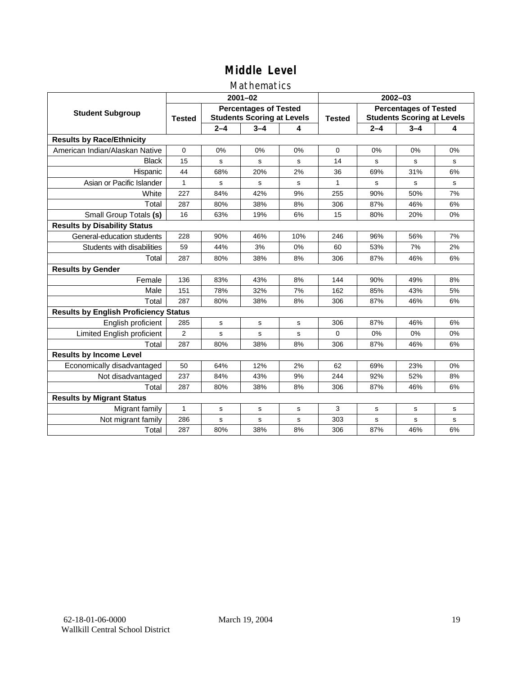#### Mathematics

|                                              |                |                                                                   | $2001 - 02$ |     | $2002 - 03$   |                                                                   |         |             |
|----------------------------------------------|----------------|-------------------------------------------------------------------|-------------|-----|---------------|-------------------------------------------------------------------|---------|-------------|
| <b>Student Subgroup</b>                      | <b>Tested</b>  | <b>Percentages of Tested</b><br><b>Students Scoring at Levels</b> |             |     | <b>Tested</b> | <b>Percentages of Tested</b><br><b>Students Scoring at Levels</b> |         |             |
|                                              |                | $2 - 4$                                                           | $3 - 4$     | 4   |               | $2 - 4$                                                           | $3 - 4$ | 4           |
| <b>Results by Race/Ethnicity</b>             |                |                                                                   |             |     |               |                                                                   |         |             |
| American Indian/Alaskan Native               | $\Omega$       | 0%                                                                | 0%          | 0%  | $\Omega$      | 0%                                                                | 0%      | 0%          |
| <b>Black</b>                                 | 15             | s                                                                 | s           | s   | 14            | S                                                                 | s       | s           |
| Hispanic                                     | 44             | 68%                                                               | 20%         | 2%  | 36            | 69%                                                               | 31%     | 6%          |
| Asian or Pacific Islander                    | 1              | s                                                                 | s           | s   | 1             | s                                                                 | s       | s           |
| White                                        | 227            | 84%                                                               | 42%         | 9%  | 255           | 90%                                                               | 50%     | 7%          |
| Total                                        | 287            | 80%                                                               | 38%         | 8%  | 306           | 87%                                                               | 46%     | 6%          |
| Small Group Totals (s)                       | 16             | 63%                                                               | 19%         | 6%  | 15            | 80%                                                               | 20%     | 0%          |
| <b>Results by Disability Status</b>          |                |                                                                   |             |     |               |                                                                   |         |             |
| General-education students                   | 228            | 90%                                                               | 46%         | 10% | 246           | 96%                                                               | 56%     | 7%          |
| Students with disabilities                   | 59             | 44%                                                               | 3%          | 0%  | 60            | 53%                                                               | 7%      | 2%          |
| Total                                        | 287            | 80%                                                               | 38%         | 8%  | 306           | 87%                                                               | 46%     | 6%          |
| <b>Results by Gender</b>                     |                |                                                                   |             |     |               |                                                                   |         |             |
| Female                                       | 136            | 83%                                                               | 43%         | 8%  | 144           | 90%                                                               | 49%     | 8%          |
| Male                                         | 151            | 78%                                                               | 32%         | 7%  | 162           | 85%                                                               | 43%     | 5%          |
| Total                                        | 287            | 80%                                                               | 38%         | 8%  | 306           | 87%                                                               | 46%     | 6%          |
| <b>Results by English Proficiency Status</b> |                |                                                                   |             |     |               |                                                                   |         |             |
| English proficient                           | 285            | s                                                                 | s           | s   | 306           | 87%                                                               | 46%     | 6%          |
| Limited English proficient                   | $\overline{2}$ | s                                                                 | s           | S   | $\Omega$      | 0%                                                                | 0%      | 0%          |
| Total                                        | 287            | 80%                                                               | 38%         | 8%  | 306           | 87%                                                               | 46%     | 6%          |
| <b>Results by Income Level</b>               |                |                                                                   |             |     |               |                                                                   |         |             |
| Economically disadvantaged                   | 50             | 64%                                                               | 12%         | 2%  | 62            | 69%                                                               | 23%     | 0%          |
| Not disadvantaged                            | 237            | 84%                                                               | 43%         | 9%  | 244           | 92%                                                               | 52%     | 8%          |
| Total                                        | 287            | 80%                                                               | 38%         | 8%  | 306           | 87%                                                               | 46%     | 6%          |
| <b>Results by Migrant Status</b>             |                |                                                                   |             |     |               |                                                                   |         |             |
| Migrant family                               | 1              | s                                                                 | $\mathbf s$ | s   | 3             | s                                                                 | s       | $\mathbf s$ |
| Not migrant family                           | 286            | s                                                                 | s           | S   | 303           | s                                                                 | s       | s           |
| Total                                        | 287            | 80%                                                               | 38%         | 8%  | 306           | 87%                                                               | 46%     | 6%          |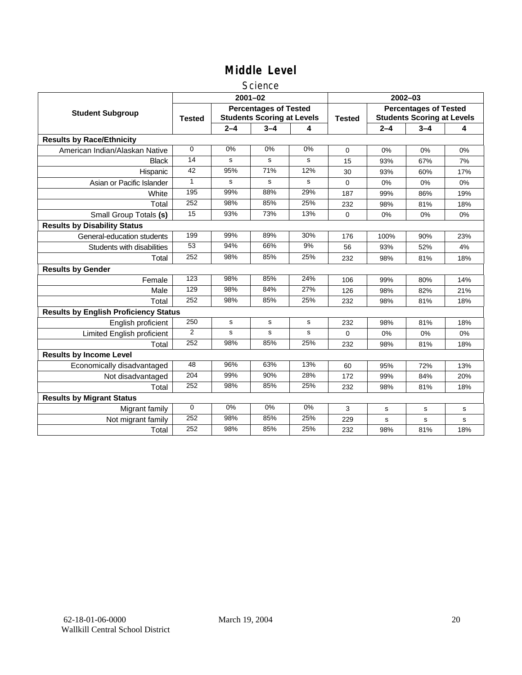#### **Science**

|                                              | $2001 - 02$    |         |                                                                   |     | $2002 - 03$   |                                                                   |         |     |  |
|----------------------------------------------|----------------|---------|-------------------------------------------------------------------|-----|---------------|-------------------------------------------------------------------|---------|-----|--|
| <b>Student Subgroup</b>                      | <b>Tested</b>  |         | <b>Percentages of Tested</b><br><b>Students Scoring at Levels</b> |     | <b>Tested</b> | <b>Percentages of Tested</b><br><b>Students Scoring at Levels</b> |         |     |  |
|                                              |                | $2 - 4$ | $3 - 4$                                                           | 4   |               | $2 - 4$                                                           | $3 - 4$ | 4   |  |
| <b>Results by Race/Ethnicity</b>             |                |         |                                                                   |     |               |                                                                   |         |     |  |
| American Indian/Alaskan Native               | 0              | 0%      | 0%                                                                | 0%  | $\Omega$      | 0%                                                                | 0%      | 0%  |  |
| <b>Black</b>                                 | 14             | s       | s                                                                 | s   | 15            | 93%                                                               | 67%     | 7%  |  |
| Hispanic                                     | 42             | 95%     | 71%                                                               | 12% | 30            | 93%                                                               | 60%     | 17% |  |
| Asian or Pacific Islander                    | $\mathbf{1}$   | s       | s                                                                 | s   | 0             | 0%                                                                | 0%      | 0%  |  |
| White                                        | 195            | 99%     | 88%                                                               | 29% | 187           | 99%                                                               | 86%     | 19% |  |
| Total                                        | 252            | 98%     | 85%                                                               | 25% | 232           | 98%                                                               | 81%     | 18% |  |
| Small Group Totals (s)                       | 15             | 93%     | 73%                                                               | 13% | 0             | 0%                                                                | 0%      | 0%  |  |
| <b>Results by Disability Status</b>          |                |         |                                                                   |     |               |                                                                   |         |     |  |
| General-education students                   | 199            | 99%     | 89%                                                               | 30% | 176           | 100%                                                              | 90%     | 23% |  |
| Students with disabilities                   | 53             | 94%     | 66%                                                               | 9%  | 56            | 93%                                                               | 52%     | 4%  |  |
| Total                                        | 252            | 98%     | 85%                                                               | 25% | 232           | 98%                                                               | 81%     | 18% |  |
| <b>Results by Gender</b>                     |                |         |                                                                   |     |               |                                                                   |         |     |  |
| Female                                       | 123            | 98%     | 85%                                                               | 24% | 106           | 99%                                                               | 80%     | 14% |  |
| Male                                         | 129            | 98%     | 84%                                                               | 27% | 126           | 98%                                                               | 82%     | 21% |  |
| Total                                        | 252            | 98%     | 85%                                                               | 25% | 232           | 98%                                                               | 81%     | 18% |  |
| <b>Results by English Proficiency Status</b> |                |         |                                                                   |     |               |                                                                   |         |     |  |
| English proficient                           | 250            | s       | s                                                                 | s   | 232           | 98%                                                               | 81%     | 18% |  |
| <b>Limited English proficient</b>            | $\overline{2}$ | s       | s                                                                 | s   | 0             | 0%                                                                | 0%      | 0%  |  |
| Total                                        | 252            | 98%     | 85%                                                               | 25% | 232           | 98%                                                               | 81%     | 18% |  |
| <b>Results by Income Level</b>               |                |         |                                                                   |     |               |                                                                   |         |     |  |
| Economically disadvantaged                   | 48             | 96%     | 63%                                                               | 13% | 60            | 95%                                                               | 72%     | 13% |  |
| Not disadvantaged                            | 204            | 99%     | 90%                                                               | 28% | 172           | 99%                                                               | 84%     | 20% |  |
| Total                                        | 252            | 98%     | 85%                                                               | 25% | 232           | 98%                                                               | 81%     | 18% |  |
| <b>Results by Migrant Status</b>             |                |         |                                                                   |     |               |                                                                   |         |     |  |
| Migrant family                               | $\mathbf 0$    | 0%      | 0%                                                                | 0%  | 3             | s                                                                 | s       | s   |  |
| Not migrant family                           | 252            | 98%     | 85%                                                               | 25% | 229           | s                                                                 | s       | s   |  |
| Total                                        | 252            | 98%     | 85%                                                               | 25% | 232           | 98%                                                               | 81%     | 18% |  |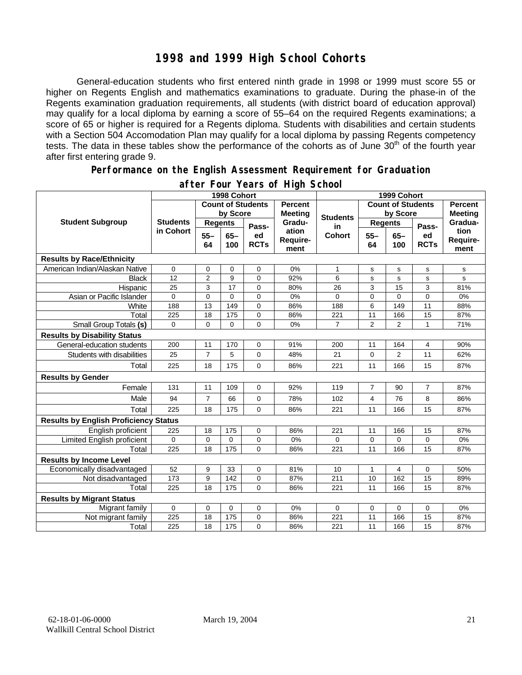#### **1998 and 1999 High School Cohorts**

General-education students who first entered ninth grade in 1998 or 1999 must score 55 or higher on Regents English and mathematics examinations to graduate. During the phase-in of the Regents examination graduation requirements, all students (with district board of education approval) may qualify for a local diploma by earning a score of 55–64 on the required Regents examinations; a score of 65 or higher is required for a Regents diploma. Students with disabilities and certain students with a Section 504 Accomodation Plan may qualify for a local diploma by passing Regents competency tests. The data in these tables show the performance of the cohorts as of June 30<sup>th</sup> of the fourth year after first entering grade 9.

#### **Performance on the English Assessment Requirement for Graduation**

|                                              | 1998 Cohort                  |                          |                 |                                  |                           | 1999 Cohort              |                |                                  |                   |                          |
|----------------------------------------------|------------------------------|--------------------------|-----------------|----------------------------------|---------------------------|--------------------------|----------------|----------------------------------|-------------------|--------------------------|
| <b>Student Subgroup</b>                      |                              | <b>Count of Students</b> |                 | <b>Percent</b><br><b>Meeting</b> |                           | <b>Count of Students</b> |                | <b>Percent</b><br><b>Meeting</b> |                   |                          |
|                                              | <b>Students</b><br>in Cohort | by Score                 |                 |                                  | <b>Students</b>           | by Score                 |                |                                  |                   |                          |
|                                              |                              | <b>Regents</b>           |                 | Pass-                            | Gradu-                    | in                       | <b>Regents</b> |                                  | Pass-             | Gradua-                  |
|                                              |                              | $55 -$<br>64             | $65 -$<br>100   | ed<br><b>RCTs</b>                | ation<br>Require-<br>ment | <b>Cohort</b>            | $55 -$<br>64   | $65 -$<br>100                    | ed<br><b>RCTs</b> | tion<br>Require-<br>ment |
| <b>Results by Race/Ethnicity</b>             |                              |                          |                 |                                  |                           |                          |                |                                  |                   |                          |
| American Indian/Alaskan Native               | 0                            | 0                        | $\Omega$        | $\mathbf 0$                      | 0%                        | 1                        | s              | s                                | $\mathbf s$       | s                        |
| <b>Black</b>                                 | $\overline{12}$              | $\mathbf 2$              | 9               | $\mathbf 0$                      | 92%                       | 6                        | s              | s                                | s                 | s                        |
| Hispanic                                     | 25                           | 3                        | $\overline{17}$ | $\Omega$                         | 80%                       | 26                       | 3              | 15                               | 3                 | 81%                      |
| Asian or Pacific Islander                    | $\mathbf 0$                  | $\pmb{0}$                | $\mathbf 0$     | $\mathbf 0$                      | 0%                        | $\Omega$                 | 0              | 0                                | $\mathbf 0$       | 0%                       |
| White                                        | 188                          | 13                       | 149             | $\Omega$                         | 86%                       | 188                      | 6              | 149                              | 11                | 88%                      |
| Total                                        | 225                          | 18                       | 175             | $\mathbf 0$                      | 86%                       | 221                      | 11             | 166                              | 15                | 87%                      |
| Small Group Totals (s)                       | $\Omega$                     | 0                        | $\Omega$        | $\Omega$                         | 0%                        | $\overline{7}$           | $\overline{2}$ | $\overline{2}$                   | $\mathbf{1}$      | 71%                      |
| <b>Results by Disability Status</b>          |                              |                          |                 |                                  |                           |                          |                |                                  |                   |                          |
| General-education students                   | 200                          | 11                       | 170             | 0                                | 91%                       | 200                      | 11             | 164                              | 4                 | 90%                      |
| Students with disabilities                   | 25                           | $\overline{7}$           | 5               | $\mathbf 0$                      | 48%                       | 21                       | $\mathbf 0$    | $\overline{2}$                   | 11                | 62%                      |
| Total                                        | 225                          | 18                       | 175             | 0                                | 86%                       | 221                      | 11             | 166                              | 15                | 87%                      |
| <b>Results by Gender</b>                     |                              |                          |                 |                                  |                           |                          |                |                                  |                   |                          |
| Female                                       | 131                          | 11                       | 109             | $\mathbf 0$                      | 92%                       | 119                      | $\overline{7}$ | 90                               | $\overline{7}$    | 87%                      |
| Male                                         | 94                           | $\overline{7}$           | 66              | $\Omega$                         | 78%                       | 102                      | 4              | 76                               | 8                 | 86%                      |
| Total                                        | 225                          | 18                       | 175             | $\Omega$                         | 86%                       | 221                      | 11             | 166                              | 15                | 87%                      |
| <b>Results by English Proficiency Status</b> |                              |                          |                 |                                  |                           |                          |                |                                  |                   |                          |
| English proficient                           | 225                          | 18                       | 175             | $\mathbf 0$                      | 86%                       | 221                      | 11             | 166                              | 15                | 87%                      |
| Limited English proficient                   | $\mathbf 0$                  | 0                        | 0               | 0                                | 0%                        | 0                        | 0              | 0                                | 0                 | 0%                       |
| Total                                        | 225                          | 18                       | 175             | $\Omega$                         | 86%                       | 221                      | 11             | 166                              | 15                | 87%                      |
| <b>Results by Income Level</b>               |                              |                          |                 |                                  |                           |                          |                |                                  |                   |                          |
| Economically disadvantaged                   | 52                           | 9                        | 33              | $\mathbf 0$                      | 81%                       | 10                       | $\mathbf{1}$   | 4                                | $\mathbf 0$       | 50%                      |
| Not disadvantaged                            | 173                          | 9                        | 142             | $\mathbf 0$                      | 87%                       | 211                      | 10             | 162                              | 15                | 89%                      |
| Total                                        | 225                          | 18                       | 175             | $\Omega$                         | 86%                       | 221                      | 11             | 166                              | 15                | 87%                      |
| <b>Results by Migrant Status</b>             |                              |                          |                 |                                  |                           |                          |                |                                  |                   |                          |
| Migrant family                               | $\mathbf 0$                  | 0                        | 0               | $\mathbf 0$                      | 0%                        | 0                        | $\mathbf 0$    | 0                                | 0                 | 0%                       |
| Not migrant family                           | 225                          | 18                       | 175             | 0                                | 86%                       | 221                      | 11             | 166                              | 15                | 87%                      |
| Total                                        | 225                          | 18                       | 175             | $\Omega$                         | 86%                       | 221                      | 11             | 166                              | 15                | 87%                      |

#### **after Four Years of High School**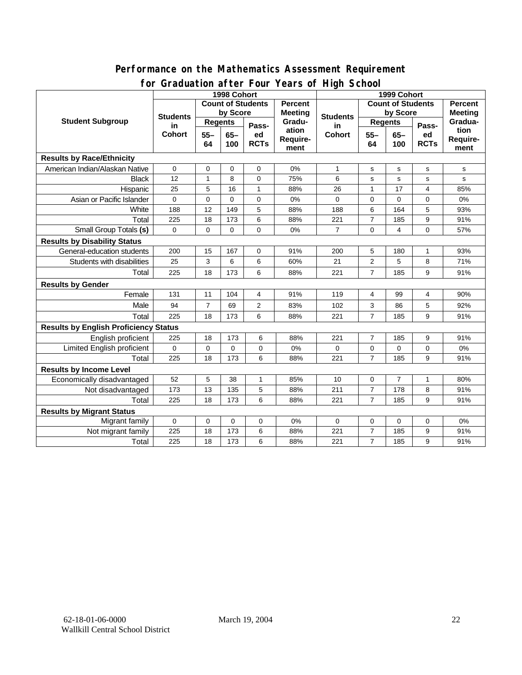#### **for Graduation after Four Years of High School 1998 Cohort 1999 Cohort Count of Students by Score Count of Students by Score** Student Subgroup Students **Busicial Students** Regents **Regents Student Students Regents in Cohort 55– 64 65– 100 Passed RCTs Percent Meeting Graduation Requirement Students in Cohort 55– 64 65– 100 Passed RCTs Percent Meeting Graduation Requirement Results by Race/Ethnicity**  American Indian/Alaskan Native | 0 | 0 | 0 | 0 | 0 | 0 | 0 | 0 | 1 | s | s | s | s Black | 12 | 1 | 8 | 0 | 75% | 6 | s | s | s | s Hispanic | 25 | 5 | 16 | 1 | 88% | 26 | 1 | 17 | 4 | 85% Asian or Pacific Islander 0 0 0 0 0% 0 0 0 0 0% White | 188 | 12 | 149 | 5 | 88% | 188 | 6 | 164 | 5 | 93% Total 225 | 18 | 173 | 6 | 88% | 221 | 7 | 185 | 9 | 91% Small Group Totals **(s)** 0 0 0 0 0% 7 0 4 0 57% **Results by Disability Status**  General-education students | 200 | 15 | 167 | 0 | 91% | 200 | 5 | 180 | 1 | 93% Students with disabilities | 25 | 3 | 6 | 6 | 60% | 21 | 2 | 5 | 8 | 71% Total 225 | 18 | 173 | 6 | 88% | 221 | 7 | 185 | 9 | 91% **Results by Gender**  Female | 131 | 11 | 104 | 4 | 91% | 119 | 4 | 99 | 4 | 90% Male | 94 | 7 | 69 | 2 | 83% | 102 | 3 | 86 | 5 | 92% Total 225 | 18 | 173 | 6 | 88% | 221 | 7 | 185 | 9 | 91% **Results by English Proficiency Status**  English proficient 225 18 173 6 88% 221 7 185 9 91% Limited English proficient 0 0 0 0 0% 0 0 0 0 0% Total 225 | 18 | 173 | 6 | 88% | 221 | 7 | 185 | 9 | 91% **Results by Income Level**  Economically disadvantaged 52 5 38 1 85% 10 0 7 1 80% Not disadvantaged 173 13 135 5 88% 211 7 178 8 91% Total 225 | 18 | 173 | 6 | 88% | 221 | 7 | 185 | 9 | 91% **Results by Migrant Status**  Migrant family 0 0 0 0 0% 0 0 0 0 0% Not migrant family 225 18 173 6 88% 221 7 185 9 91% Total 225 | 18 | 173 | 6 | 88% | 221 | 7 | 185 | 9 | 91%

# **Performance on the Mathematics Assessment Requirement**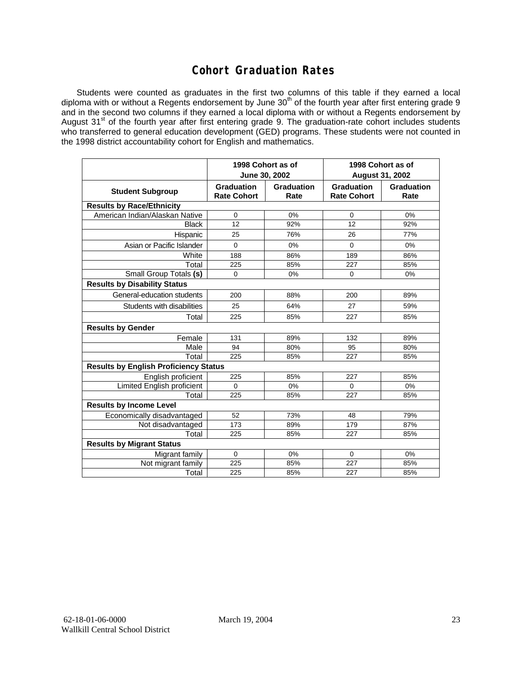### **Cohort Graduation Rates**

Students were counted as graduates in the first two columns of this table if they earned a local diploma with or without a Regents endorsement by June 30<sup>th</sup> of the fourth year after first entering grade 9 and in the second two columns if they earned a local diploma with or without a Regents endorsement by August 31<sup>st</sup> of the fourth year after first entering grade 9. The graduation-rate cohort includes students who transferred to general education development (GED) programs. These students were not counted in the 1998 district accountability cohort for English and mathematics.

|                                              |                                  | 1998 Cohort as of<br>June 30, 2002 | 1998 Cohort as of<br><b>August 31, 2002</b> |                    |  |  |  |  |  |  |
|----------------------------------------------|----------------------------------|------------------------------------|---------------------------------------------|--------------------|--|--|--|--|--|--|
| <b>Student Subgroup</b>                      | Graduation<br><b>Rate Cohort</b> | Graduation<br>Rate                 | Graduation<br><b>Rate Cohort</b>            | Graduation<br>Rate |  |  |  |  |  |  |
| <b>Results by Race/Ethnicity</b>             |                                  |                                    |                                             |                    |  |  |  |  |  |  |
| American Indian/Alaskan Native               | $\mathbf 0$                      | 0%                                 | 0                                           | 0%                 |  |  |  |  |  |  |
| <b>Black</b>                                 | 12                               | 92%                                | 12                                          | 92%                |  |  |  |  |  |  |
| Hispanic                                     | 25                               | 76%                                | 26                                          | 77%                |  |  |  |  |  |  |
| Asian or Pacific Islander                    | $\Omega$                         | 0%                                 | $\Omega$                                    | 0%                 |  |  |  |  |  |  |
| White                                        | 188                              | 86%                                | 189                                         | 86%                |  |  |  |  |  |  |
| Total                                        | 225                              | 85%                                | 227                                         | 85%                |  |  |  |  |  |  |
| Small Group Totals (s)                       | $\mathbf 0$                      | $0\%$                              | 0                                           | 0%                 |  |  |  |  |  |  |
| <b>Results by Disability Status</b>          |                                  |                                    |                                             |                    |  |  |  |  |  |  |
| General-education students                   | 200                              | 88%                                | 200                                         | 89%                |  |  |  |  |  |  |
| Students with disabilities                   | 25                               | 64%                                | 27                                          | 59%                |  |  |  |  |  |  |
| Total                                        | 225                              | 85%                                | 227                                         | 85%                |  |  |  |  |  |  |
| <b>Results by Gender</b>                     |                                  |                                    |                                             |                    |  |  |  |  |  |  |
| Female                                       | 131                              | 89%                                | 132                                         | 89%                |  |  |  |  |  |  |
| Male                                         | 94                               | 80%                                | 95                                          | 80%                |  |  |  |  |  |  |
| Total                                        | 225                              | 85%                                | 227                                         | 85%                |  |  |  |  |  |  |
| <b>Results by English Proficiency Status</b> |                                  |                                    |                                             |                    |  |  |  |  |  |  |
| English proficient                           | 225                              | 85%                                | 227                                         | 85%                |  |  |  |  |  |  |
| <b>Limited English proficient</b>            | $\Omega$                         | 0%                                 | $\Omega$                                    | 0%                 |  |  |  |  |  |  |
| Total                                        | 225                              | 85%                                | 227                                         | 85%                |  |  |  |  |  |  |
| <b>Results by Income Level</b>               |                                  |                                    |                                             |                    |  |  |  |  |  |  |
| Economically disadvantaged                   | 52                               | 73%                                | 48                                          | 79%                |  |  |  |  |  |  |
| Not disadvantaged                            | 173                              | 89%                                | 179                                         | 87%                |  |  |  |  |  |  |
| Total                                        | 225                              | 85%                                | 227                                         | 85%                |  |  |  |  |  |  |
| <b>Results by Migrant Status</b>             |                                  |                                    |                                             |                    |  |  |  |  |  |  |
| Migrant family                               | $\mathbf 0$                      | 0%                                 | 0                                           | 0%                 |  |  |  |  |  |  |
| Not migrant family                           | 225                              | 85%                                | 227                                         | 85%                |  |  |  |  |  |  |
| Total                                        | 225                              | 85%                                | 227                                         | 85%                |  |  |  |  |  |  |